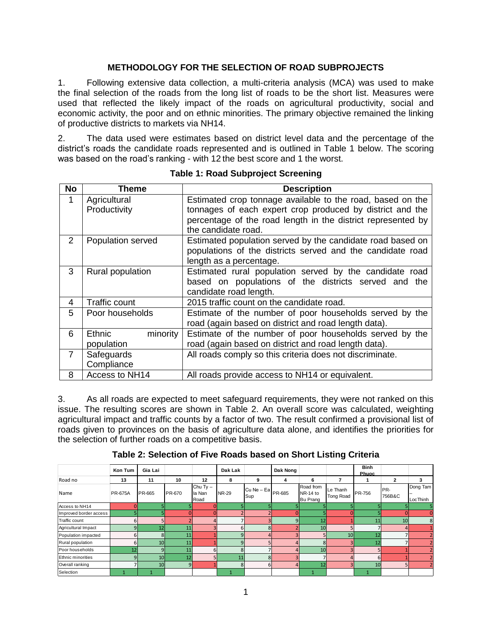#### **METHODOLOGY FOR THE SELECTION OF ROAD SUBPROJECTS**

1. Following extensive data collection, a multi-criteria analysis (MCA) was used to make the final selection of the roads from the long list of roads to be the short list. Measures were used that reflected the likely impact of the roads on agricultural productivity, social and economic activity, the poor and on ethnic minorities. The primary objective remained the linking of productive districts to markets via NH14.

2. The data used were estimates based on district level data and the percentage of the district's roads the candidate roads represented and is outlined in Table 1 below. The scoring was based on the road's ranking - with 12 the best score and 1 the worst.

| <b>No</b>      | Theme                | <b>Description</b>                                           |  |  |  |  |
|----------------|----------------------|--------------------------------------------------------------|--|--|--|--|
| 1              | Agricultural         | Estimated crop tonnage available to the road, based on the   |  |  |  |  |
|                | Productivity         | tonnages of each expert crop produced by district and the    |  |  |  |  |
|                |                      | percentage of the road length in the district represented by |  |  |  |  |
|                |                      | the candidate road.                                          |  |  |  |  |
| $\overline{2}$ | Population served    | Estimated population served by the candidate road based on   |  |  |  |  |
|                |                      | populations of the districts served and the candidate road   |  |  |  |  |
|                |                      | length as a percentage.                                      |  |  |  |  |
| 3              | Rural population     | Estimated rural population served by the candidate road      |  |  |  |  |
|                |                      | based on populations of the districts served and the         |  |  |  |  |
|                |                      | candidate road length.                                       |  |  |  |  |
| 4              | <b>Traffic count</b> | 2015 traffic count on the candidate road.                    |  |  |  |  |
| 5              | Poor households      | Estimate of the number of poor households served by the      |  |  |  |  |
|                |                      | road (again based on district and road length data).         |  |  |  |  |
| 6              | Ethnic<br>minority   | Estimate of the number of poor households served by the      |  |  |  |  |
|                | population           | road (again based on district and road length data).         |  |  |  |  |
| $\overline{7}$ | Safeguards           | All roads comply so this criteria does not discriminate.     |  |  |  |  |
|                | Compliance           |                                                              |  |  |  |  |
| 8              | Access to NH14       | All roads provide access to NH14 or equivalent.              |  |  |  |  |

**Table 1: Road Subproject Screening**

3. As all roads are expected to meet safeguard requirements, they were not ranked on this issue. The resulting scores are shown in Table 2. An overall score was calculated, weighting agricultural impact and traffic counts by a factor of two. The result confirmed a provisional list of roads given to provinces on the basis of agriculture data alone, and identifies the priorities for the selection of further roads on a competitive basis.

**Table 2: Selection of Five Roads based on Short Listing Criteria**

|                        | Kon Tum        | Gia Lai         |        |                              | Dak Lak      |                                  | Dak Nong     |                                   |                              | <b>Binh</b><br>Phuoc |               |                      |
|------------------------|----------------|-----------------|--------|------------------------------|--------------|----------------------------------|--------------|-----------------------------------|------------------------------|----------------------|---------------|----------------------|
| Road no                | 13             | 11              | 10     | 12                           | 8            | 9                                | 4            | 6                                 | 7                            |                      | $\mathbf{2}$  | 3                    |
| Name                   | <b>PR-675A</b> | PR-665          | PR-670 | Chu Ty $-$<br>la Nan<br>Road | <b>NR-29</b> | $ICu$ Ne – Ea $_{PR-685}$<br>Sup |              | Road from<br>NR-14 to<br>Bu Prang | Le Thanh<br><b>Tong Road</b> | <b>PR-756</b>        | PR-<br>756B&C | Dong Tam<br>LocThinh |
| Access to NH14         |                |                 |        |                              |              |                                  |              |                                   |                              |                      |               |                      |
| Improved border access |                |                 |        |                              |              |                                  |              |                                   |                              |                      |               |                      |
| Traffic count          |                |                 |        |                              |              |                                  | 9            | 12                                |                              | 11                   | 10            | 8                    |
| Agricultural Impact    |                | 12              | 11     |                              | 6            | 8 <sup>1</sup>                   |              | 10                                |                              |                      |               |                      |
| Population impacted    | n              | 8               | 11     |                              | 9            | 4                                |              |                                   | 10                           | 12                   |               |                      |
| Rural population       |                | 10 <sup>1</sup> | 11     |                              | q            |                                  |              | я                                 |                              | 12                   |               |                      |
| Poor households        | 12             | q               | 11     | 6                            | 8            |                                  |              | 10 <sub>1</sub>                   |                              |                      |               |                      |
| Ethnic minorities      |                | 10              | 12     |                              | 11           | 8                                |              |                                   |                              | ы                    |               |                      |
| Overall ranking        |                | 10              | 9      |                              | $\mathbf{R}$ | 61                               | $\mathbf{A}$ | 12                                |                              | 10                   |               |                      |
| Selection              |                |                 |        |                              |              |                                  |              |                                   |                              |                      |               |                      |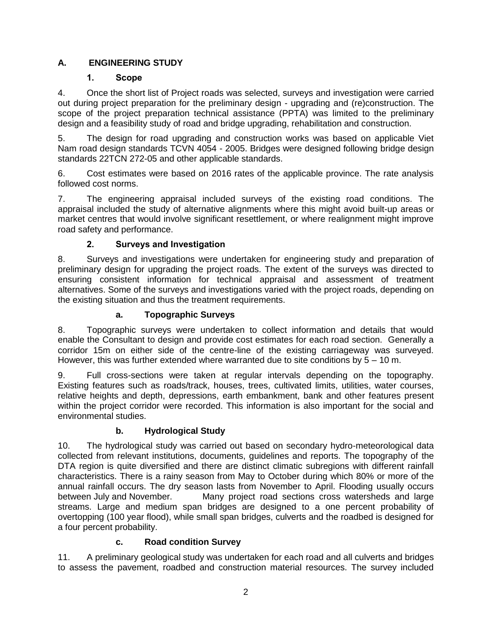## **A. ENGINEERING STUDY**

## **1. Scope**

4. Once the short list of Project roads was selected, surveys and investigation were carried out during project preparation for the preliminary design - upgrading and (re)construction. The scope of the project preparation technical assistance (PPTA) was limited to the preliminary design and a feasibility study of road and bridge upgrading, rehabilitation and construction.

5. The design for road upgrading and construction works was based on applicable Viet Nam road design standards TCVN 4054 - 2005. Bridges were designed following bridge design standards 22TCN 272-05 and other applicable standards.

6. Cost estimates were based on 2016 rates of the applicable province. The rate analysis followed cost norms.

7. The engineering appraisal included surveys of the existing road conditions. The appraisal included the study of alternative alignments where this might avoid built-up areas or market centres that would involve significant resettlement, or where realignment might improve road safety and performance.

## **2. Surveys and Investigation**

8. Surveys and investigations were undertaken for engineering study and preparation of preliminary design for upgrading the project roads. The extent of the surveys was directed to ensuring consistent information for technical appraisal and assessment of treatment alternatives. Some of the surveys and investigations varied with the project roads, depending on the existing situation and thus the treatment requirements.

#### **a. Topographic Surveys**

8. Topographic surveys were undertaken to collect information and details that would enable the Consultant to design and provide cost estimates for each road section. Generally a corridor 15m on either side of the centre-line of the existing carriageway was surveyed. However, this was further extended where warranted due to site conditions by  $5 - 10$  m.

9. Full cross-sections were taken at regular intervals depending on the topography. Existing features such as roads/track, houses, trees, cultivated limits, utilities, water courses, relative heights and depth, depressions, earth embankment, bank and other features present within the project corridor were recorded. This information is also important for the social and environmental studies.

## **b. Hydrological Study**

10. The hydrological study was carried out based on secondary hydro-meteorological data collected from relevant institutions, documents, guidelines and reports. The topography of the DTA region is quite diversified and there are distinct climatic subregions with different rainfall characteristics. There is a rainy season from May to October during which 80% or more of the annual rainfall occurs. The dry season lasts from November to April. Flooding usually occurs between July and November. Many project road sections cross watersheds and large streams. Large and medium span bridges are designed to a one percent probability of overtopping (100 year flood), while small span bridges, culverts and the roadbed is designed for a four percent probability.

## **c. Road condition Survey**

11. A preliminary geological study was undertaken for each road and all culverts and bridges to assess the pavement, roadbed and construction material resources. The survey included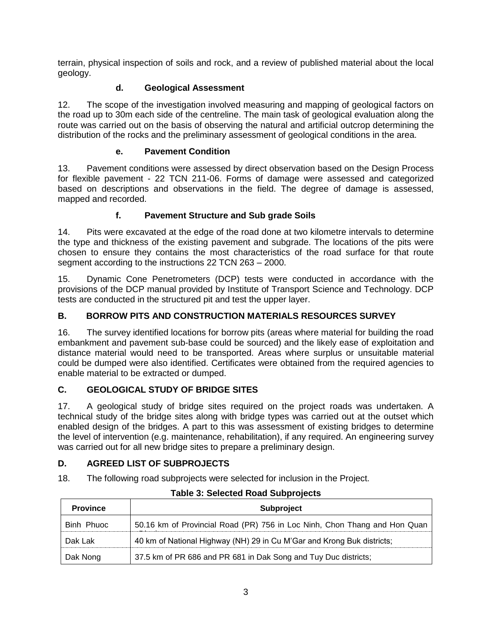terrain, physical inspection of soils and rock, and a review of published material about the local geology.

## **d. Geological Assessment**

12. The scope of the investigation involved measuring and mapping of geological factors on the road up to 30m each side of the centreline. The main task of geological evaluation along the route was carried out on the basis of observing the natural and artificial outcrop determining the distribution of the rocks and the preliminary assessment of geological conditions in the area.

## **e. Pavement Condition**

13. Pavement conditions were assessed by direct observation based on the Design Process for flexible pavement - 22 TCN 211-06. Forms of damage were assessed and categorized based on descriptions and observations in the field. The degree of damage is assessed, mapped and recorded.

# **f. Pavement Structure and Sub grade Soils**

14. Pits were excavated at the edge of the road done at two kilometre intervals to determine the type and thickness of the existing pavement and subgrade. The locations of the pits were chosen to ensure they contains the most characteristics of the road surface for that route segment according to the instructions 22 TCN 263 – 2000.

15. Dynamic Cone Penetrometers (DCP) tests were conducted in accordance with the provisions of the DCP manual provided by Institute of Transport Science and Technology. DCP tests are conducted in the structured pit and test the upper layer.

# **B. BORROW PITS AND CONSTRUCTION MATERIALS RESOURCES SURVEY**

16. The survey identified locations for borrow pits (areas where material for building the road embankment and pavement sub-base could be sourced) and the likely ease of exploitation and distance material would need to be transported. Areas where surplus or unsuitable material could be dumped were also identified. Certificates were obtained from the required agencies to enable material to be extracted or dumped.

# **C. GEOLOGICAL STUDY OF BRIDGE SITES**

17. A geological study of bridge sites required on the project roads was undertaken. A technical study of the bridge sites along with bridge types was carried out at the outset which enabled design of the bridges. A part to this was assessment of existing bridges to determine the level of intervention (e.g. maintenance, rehabilitation), if any required. An engineering survey was carried out for all new bridge sites to prepare a preliminary design.

## **D. AGREED LIST OF SUBPROJECTS**

18. The following road subprojects were selected for inclusion in the Project.

| <b>Province</b> | <b>Subproject</b>                                                         |  |  |  |  |  |
|-----------------|---------------------------------------------------------------------------|--|--|--|--|--|
| Binh Phuoc      | 50.16 km of Provincial Road (PR) 756 in Loc Ninh, Chon Thang and Hon Quan |  |  |  |  |  |
| Dak Lak         | 40 km of National Highway (NH) 29 in Cu M'Gar and Krong Buk districts;    |  |  |  |  |  |
| Dak Nong        | 37.5 km of PR 686 and PR 681 in Dak Song and Tuy Duc districts;           |  |  |  |  |  |

## **Table 3: Selected Road Subprojects**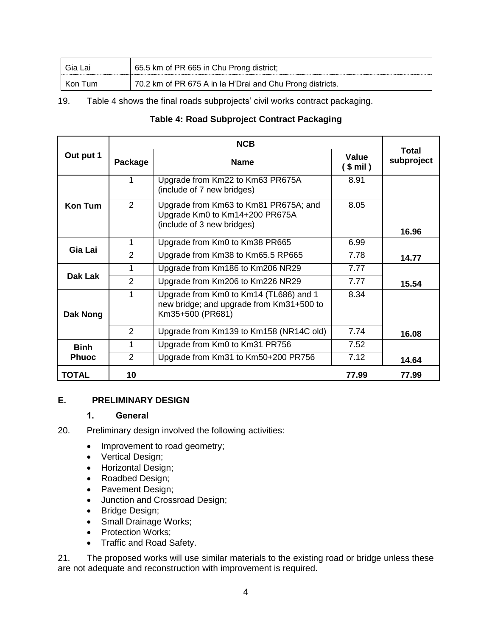| Gia Lai | 65.5 km of PR 665 in Chu Prong district;                  |
|---------|-----------------------------------------------------------|
| Kon Tum | 70.2 km of PR 675 A in Ia H'Drai and Chu Prong districts. |

19. Table 4 shows the final roads subprojects' civil works contract packaging.

#### **Table 4: Road Subproject Contract Packaging**

| Out put 1      | <b>Package</b> | <b>Name</b>                                                                                            | Value<br>$(5 \text{ mil})$ | Total<br>subproject |  |
|----------------|----------------|--------------------------------------------------------------------------------------------------------|----------------------------|---------------------|--|
|                | 1              | Upgrade from Km22 to Km63 PR675A<br>(include of 7 new bridges)                                         | 8.91                       |                     |  |
| <b>Kon Tum</b> | 2              | Upgrade from Km63 to Km81 PR675A; and<br>Upgrade Km0 to Km14+200 PR675A<br>(include of 3 new bridges)  | 8.05                       | 16.96               |  |
|                | 1              | Upgrade from Km0 to Km38 PR665                                                                         | 6.99                       |                     |  |
| Gia Lai        | 2              | Upgrade from Km38 to Km65.5 RP665                                                                      | 7.78                       | 14.77               |  |
|                | 1              | Upgrade from Km186 to Km206 NR29                                                                       | 7.77                       |                     |  |
| Dak Lak        | 2              | Upgrade from Km206 to Km226 NR29                                                                       | 7.77                       | 15.54               |  |
| Dak Nong       | 1              | Upgrade from Km0 to Km14 (TL686) and 1<br>new bridge; and upgrade from Km31+500 to<br>Km35+500 (PR681) | 8.34                       |                     |  |
|                | $\mathcal{P}$  | Upgrade from Km139 to Km158 (NR14C old)                                                                | 7.74                       | 16.08               |  |
| <b>Binh</b>    | 1              | Upgrade from Km0 to Km31 PR756                                                                         | 7.52                       |                     |  |
| <b>Phuoc</b>   | 2              | Upgrade from Km31 to Km50+200 PR756                                                                    | 7.12                       | 14.64               |  |
| <b>TOTAL</b>   | 10             |                                                                                                        | 77.99                      | 77.99               |  |

#### **E. PRELIMINARY DESIGN**

#### **1. General**

20. Preliminary design involved the following activities:

- Improvement to road geometry;
- Vertical Design;
- Horizontal Design;
- Roadbed Design;
- Pavement Design;
- Junction and Crossroad Design;
- Bridge Design;
- Small Drainage Works;
- Protection Works;
- Traffic and Road Safety.

21. The proposed works will use similar materials to the existing road or bridge unless these are not adequate and reconstruction with improvement is required.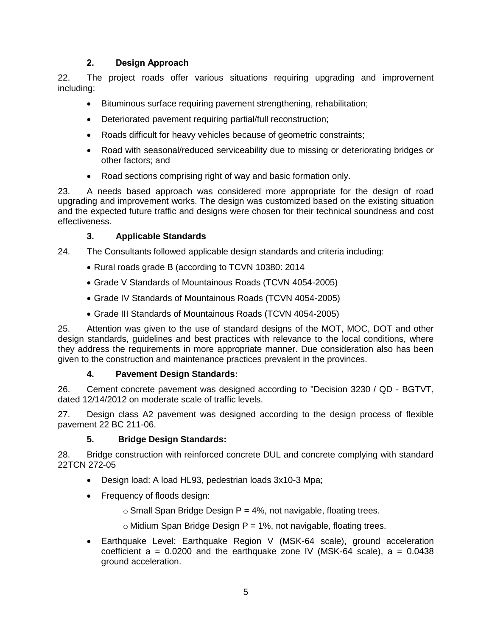#### **2. Design Approach**

22. The project roads offer various situations requiring upgrading and improvement including:

- Bituminous surface requiring pavement strengthening, rehabilitation;
- Deteriorated pavement requiring partial/full reconstruction;
- Roads difficult for heavy vehicles because of geometric constraints;
- Road with seasonal/reduced serviceability due to missing or deteriorating bridges or other factors; and
- Road sections comprising right of way and basic formation only.

23. A needs based approach was considered more appropriate for the design of road upgrading and improvement works. The design was customized based on the existing situation and the expected future traffic and designs were chosen for their technical soundness and cost effectiveness.

#### **3. Applicable Standards**

- 24. The Consultants followed applicable design standards and criteria including:
	- Rural roads grade B (according to TCVN 10380: 2014
	- Grade V Standards of Mountainous Roads (TCVN 4054-2005)
	- Grade IV Standards of Mountainous Roads (TCVN 4054-2005)
	- Grade III Standards of Mountainous Roads (TCVN 4054-2005)

25. Attention was given to the use of standard designs of the MOT, MOC, DOT and other design standards, guidelines and best practices with relevance to the local conditions, where they address the requirements in more appropriate manner. Due consideration also has been given to the construction and maintenance practices prevalent in the provinces.

#### **4. Pavement Design Standards:**

26. Cement concrete pavement was designed according to "Decision 3230 / QD - BGTVT, dated 12/14/2012 on moderate scale of traffic levels.

27. Design class A2 pavement was designed according to the design process of flexible pavement 22 BC 211-06.

#### **5. Bridge Design Standards:**

28. Bridge construction with reinforced concrete DUL and concrete complying with standard 22TCN 272-05

- Design load: A load HL93, pedestrian loads 3x10-3 Mpa;
- Frequency of floods design:
	- $\circ$  Small Span Bridge Design P = 4%, not navigable, floating trees.
	- $\circ$  Midium Span Bridge Design P = 1%, not navigable, floating trees.
- Earthquake Level: Earthquake Region V (MSK-64 scale), ground acceleration coefficient  $a = 0.0200$  and the earthquake zone IV (MSK-64 scale),  $a = 0.0438$ ground acceleration.